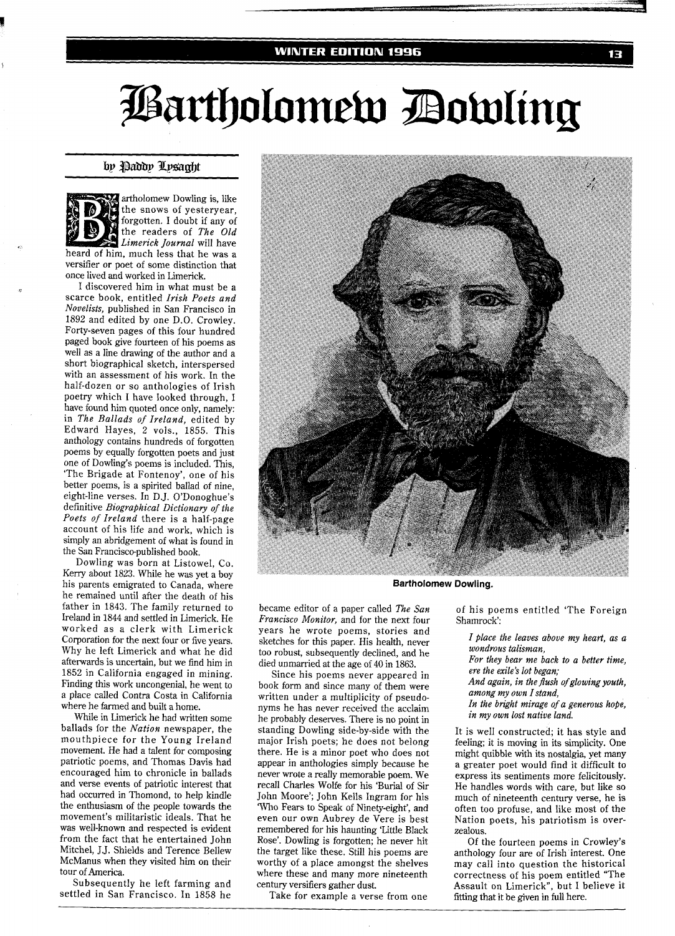#### **WINTER EDITION 1996**

# Bartholomew Dowling

## by Paddy Lysaght



artholomew Dowling is, like the snows of yesteryear, forgotten. I doubt if any of the readers of *The Old Limerick Journal* will have heard of him, much less that he was a

versifier or poet of some distinction that once lived and worked in Limerick.

I discovered him in what must be a scarce book, entitled *Irish Poets and Novelists,* published in San Francisco in 1892 and edited by one D.O. Crowley. Forty-seven pages of this four hundred paged book give fourteen of his poems as well as a line drawing of the author and a short biographical sketch, interspersed with an assessment of his work. In the half-dozen or so anthologies of Irish poetry which I have looked through, I have found him quoted once only, namely: in *The Ballads of Ireland,* edited by Edward Hayes, 2 vols., 1855. This anthology contains hundreds of forgotten poems by equally forgotten poets and just one of Dowling's poems is included. This, 'The Brigade at Fontenoy', one of his better poems, is a spirited ballad of nine, eight-line verses. In D.J. O'Donoghue's definitive *Biographical Dictionary of the Poets of Ireland* there is a half-page account of his life and work, which is simply an abridgement of what is found in the San Francisco-published book.

Dowling was born at Listowel, Co. Kerry about 1823. While he was yet a boy his parents emigrated to Canada, where he remained until after the death of his father in 1843. The family returned to Ireland in 1844 and settled in Limerick. He worked as a clerk with Limerick Corporation for the next four or five years. Why he left Limerick and what he did afterwards is uncertain, but we find him in 1852 in California engaged in mining. Finding this work uncongenial, he went to a place called Contra Costa in California where he farmed and built a home.

While in Limerick he had written some ballads for the *Nation* newspaper, the mouthpiece for the Young Ireland movement. He had a talent for composing patriotic poems, and Thomas Davis had encouraged him to chronicle in ballads and verse events of patriotic interest that had occurred in Thomond, to help kindle the enthusiasm of the people towards the movement's militaristic ideals. That he was well-known and respected is evident from the fact that he entertained John Mitchel, J.J. Shields and Terence Bellew McManus when they visited him on their tour of America.

Subsequently he left farming and settled in San Francisco. In 1858 he



**Bartholomew Dowling.** 

became editor of a paper called *The San Francisco Monitor,* and for the next four years he wrote poems, stories and sketches for this paper. His health, never too robust, subsequently declined, and he died unmarried at the age of 40 in 1863.

Since his poems never appeared in book form and since many of them were written under a multiplicity of pseudonyms he has never received the acclaim he probably deserves. There is no point in standing Dowling side-by-side with the major Irish poets; he does not belong there. He is a minor poet who does not appear in anthologies simply because he never wrote a really memorable poem. We recall Charles Wolfe for his 'Burial of Sir John Moore'; John Kells Ingram for his Who Fears to Speak of Ninety-eight', and even our own Aubrey de Vere is best remembered for his haunting 'Little Black Rose'. Dowling is forgotten; he never hit the target like these. Still his poems are worthy of a place amongst the shelves where these and many more nineteenth century versifiers gather dust.

Take for example a verse from one

of his poems entitled 'The Foreign Shamrock':

*I Place the leaves above my heart, as a wondrous talisman,* 

*For they bear me back to a better time, ere the exile's lot began;* 

*And again, in the flush ofglowing youth, among my own I stand,* 

*In the bright mirage of a generous hope, in my own lost native land.* 

It is well constructed; it has style and feeling; it is moving in its simplicity. One might quibble with its nostalgia, yet many a greater poet would find it difficult to express its sentiments more felicitously. He handles words with care, but like so much of nineteenth century verse, he is often too profuse, and like most of the Nation poets, his patriotism is overzealous.

Of the fourteen poems in Crowley's anthology four are of Irish interest. One may call into question the historical correctness of his poem entitled "The Assault on Limerick", but I believe it fitting that it be given in full here.

13